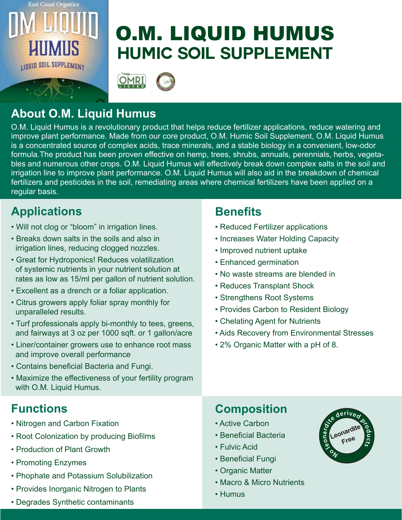

# **Humic Soil Supplement** O.M. LIQUID HUMUS



# **About O.M. Liquid Humus**

O.M. Liquid Humus is a revolutionary product that helps reduce fertilizer applications, reduce watering and improve plant performance. Made from our core product, O.M. Humic Soil Supplement, O.M. Liquid Humus is a concentrated source of complex acids, trace minerals, and a stable biology in a convenient, low-odor formula.The product has been proven effective on hemp, trees, shrubs, annuals, perennials, herbs, vegetables and numerous other crops. O.M. Liquid Humus will effectively break down complex salts in the soil and irrigation line to improve plant performance. O.M. Liquid Humus will also aid in the breakdown of chemical fertilizers and pesticides in the soil, remediating areas where chemical fertilizers have been applied on a regular basis.

### **Applications Benefits**

- Will not clog or "bloom" in irrigation lines.
- Breaks down salts in the soils and also in irrigation lines, reducing clogged nozzles.
- Great for Hydroponics! Reduces volatilization of systemic nutrients in your nutrient solution at rates as low as 15/ml per gallon of nutrient solution.
- Excellent as a drench or a foliar application.
- Citrus growers apply foliar spray monthly for unparalleled results.
- Turf professionals apply bi-monthly to tees, greens, and fairways at 3 oz per 1000 sqft. or 1 gallon/acre
- Liner/container growers use to enhance root mass and improve overall performance
- Contains beneficial Bacteria and Fungi.
- Maximize the effectiveness of your fertility program with O.M. Liquid Humus.

#### **Functions**

- Nitrogen and Carbon Fixation
- Root Colonization by producing Biofilms
- Production of Plant Growth
- Promoting Enzymes
- Phophate and Potassium Solubilization
- Provides Inorganic Nitrogen to Plants

#### • Degrades Synthetic contaminants

- Reduced Fertilizer applications
- Increases Water Holding Capacity
- Improved nutrient uptake
- Enhanced germination
- No waste streams are blended in
- Reduces Transplant Shock
- Strengthens Root Systems
- Provides Carbon to Resident Biology
- Chelating Agent for Nutrients
- Aids Recovery from Environmental Stresses
- 2% Organic Matter with a pH of 8.

#### **Composition**

- Active Carbon
- Beneficial Bacteria
- Fulvic Acid
- Beneficial Fungi
- Organic Matter
- Macro & Micro Nutrients
- Humus